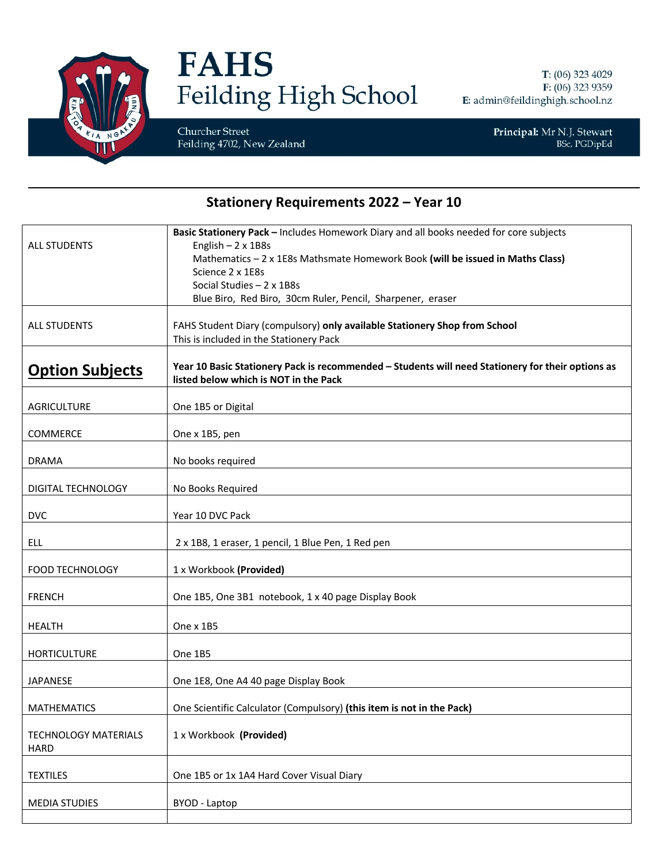

## **FAHS** Feilding High School

T: (06) 323 4029 F: (06) 323 9359 E: admin@feildinghigh.school.nz

Churcher Street Feilding 4702, New Zealand Principal: Mr N.J. Stewart<br>BSc, PGDipEd

## **Stationery Requirements 2022 - Year 10**

| <b>ALL STUDENTS</b>                        | Basic Stationery Pack - Includes Homework Diary and all books needed for core subjects<br>English $-2 \times 1B8s$<br>Mathematics - 2 x 1E8s Mathsmate Homework Book (will be issued in Maths Class)<br>Science 2 x 1E8s<br>Social Studies $-2 \times 1B8s$<br>Blue Biro, Red Biro, 30cm Ruler, Pencil, Sharpener, eraser |
|--------------------------------------------|---------------------------------------------------------------------------------------------------------------------------------------------------------------------------------------------------------------------------------------------------------------------------------------------------------------------------|
| <b>ALL STUDENTS</b>                        | FAHS Student Diary (compulsory) only available Stationery Shop from School<br>This is included in the Stationery Pack                                                                                                                                                                                                     |
| <b>Option Subjects</b>                     | Year 10 Basic Stationery Pack is recommended - Students will need Stationery for their options as<br>listed below which is NOT in the Pack                                                                                                                                                                                |
| <b>AGRICULTURE</b>                         | One 1B5 or Digital                                                                                                                                                                                                                                                                                                        |
| COMMERCE                                   | One x 1B5, pen                                                                                                                                                                                                                                                                                                            |
| <b>DRAMA</b>                               | No books required                                                                                                                                                                                                                                                                                                         |
| DIGITAL TECHNOLOGY                         | No Books Required                                                                                                                                                                                                                                                                                                         |
| <b>DVC</b>                                 | Year 10 DVC Pack                                                                                                                                                                                                                                                                                                          |
| ELL                                        | 2 x 1B8, 1 eraser, 1 pencil, 1 Blue Pen, 1 Red pen                                                                                                                                                                                                                                                                        |
| <b>FOOD TECHNOLOGY</b>                     | 1 x Workbook (Provided)                                                                                                                                                                                                                                                                                                   |
| <b>FRENCH</b>                              | One 1B5, One 3B1 notebook, 1 x 40 page Display Book                                                                                                                                                                                                                                                                       |
| <b>HEALTH</b>                              | One x 1B5                                                                                                                                                                                                                                                                                                                 |
| <b>HORTICULTURE</b>                        | One 1B5                                                                                                                                                                                                                                                                                                                   |
| <b>JAPANESE</b>                            | One 1E8, One A4 40 page Display Book                                                                                                                                                                                                                                                                                      |
| <b>MATHEMATICS</b>                         | One Scientific Calculator (Compulsory) (this item is not in the Pack)                                                                                                                                                                                                                                                     |
| <b>TECHNOLOGY MATERIALS</b><br><b>HARD</b> | 1 x Workbook (Provided)                                                                                                                                                                                                                                                                                                   |
| <b>TEXTILES</b>                            | One 1B5 or 1x 1A4 Hard Cover Visual Diary                                                                                                                                                                                                                                                                                 |
| <b>MEDIA STUDIES</b>                       | <b>BYOD - Laptop</b>                                                                                                                                                                                                                                                                                                      |
|                                            |                                                                                                                                                                                                                                                                                                                           |